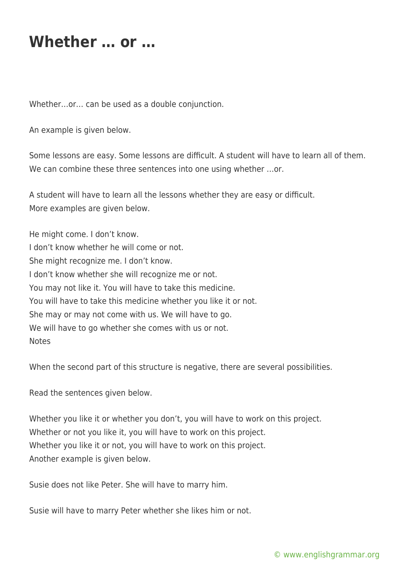## **Whether … or …**

Whether…or… can be used as a double conjunction.

An example is given below.

Some lessons are easy. Some lessons are difficult. A student will have to learn all of them. We can combine these three sentences into one using whether …or.

A student will have to learn all the lessons whether they are easy or difficult. More examples are given below.

He might come. I don't know. I don't know whether he will come or not. She might recognize me. I don't know. I don't know whether she will recognize me or not. You may not like it. You will have to take this medicine. You will have to take this medicine whether you like it or not. She may or may not come with us. We will have to go. We will have to go whether she comes with us or not. **Notes** 

When the second part of this structure is negative, there are several possibilities.

Read the sentences given below.

Whether you like it or whether you don't, you will have to work on this project. Whether or not you like it, you will have to work on this project. Whether you like it or not, you will have to work on this project. Another example is given below.

Susie does not like Peter. She will have to marry him.

Susie will have to marry Peter whether she likes him or not.